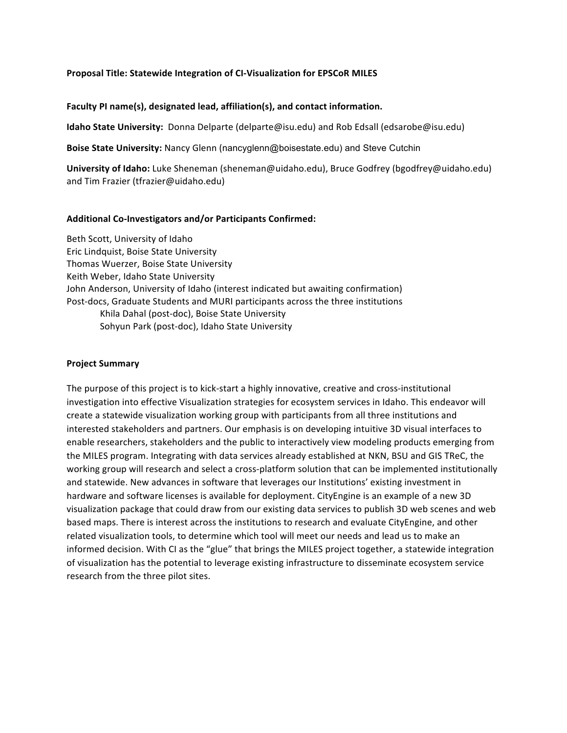#### **Proposal Title: Statewide Integration of CI-Visualization for EPSCoR MILES**

Faculty PI name(s), designated lead, affiliation(s), and contact information.

**Idaho State University:** Donna Delparte (delparte@isu.edu) and Rob Edsall (edsarobe@isu.edu)

**Boise State University:** Nancy Glenn (nancyglenn@boisestate.edu) and Steve Cutchin

**University of Idaho:** Luke Sheneman (sheneman@uidaho.edu), Bruce Godfrey (bgodfrey@uidaho.edu) and Tim Frazier (tfrazier@uidaho.edu)

### **Additional Co-Investigators and/or Participants Confirmed:**

Beth Scott, University of Idaho Eric Lindquist, Boise State University Thomas Wuerzer, Boise State University Keith Weber, Idaho State University John Anderson, University of Idaho (interest indicated but awaiting confirmation) Post-docs, Graduate Students and MURI participants across the three institutions Khila Dahal (post-doc), Boise State University Sohyun Park (post-doc), Idaho State University

### **Project Summary**

The purpose of this project is to kick-start a highly innovative, creative and cross-institutional investigation into effective Visualization strategies for ecosystem services in Idaho. This endeavor will create a statewide visualization working group with participants from all three institutions and interested stakeholders and partners. Our emphasis is on developing intuitive 3D visual interfaces to enable researchers, stakeholders and the public to interactively view modeling products emerging from the MILES program. Integrating with data services already established at NKN, BSU and GIS TReC, the working group will research and select a cross-platform solution that can be implemented institutionally and statewide. New advances in software that leverages our Institutions' existing investment in hardware and software licenses is available for deployment. CityEngine is an example of a new 3D visualization package that could draw from our existing data services to publish 3D web scenes and web based maps. There is interest across the institutions to research and evaluate CityEngine, and other related visualization tools, to determine which tool will meet our needs and lead us to make an informed decision. With CI as the "glue" that brings the MILES project together, a statewide integration of visualization has the potential to leverage existing infrastructure to disseminate ecosystem service research from the three pilot sites.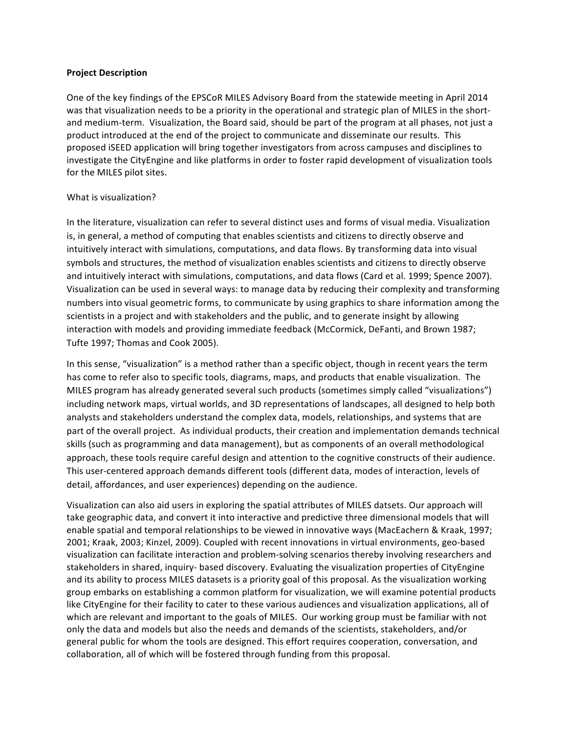#### **Project Description**

One of the key findings of the EPSCoR MILES Advisory Board from the statewide meeting in April 2014 was that visualization needs to be a priority in the operational and strategic plan of MILES in the shortand medium-term. Visualization, the Board said, should be part of the program at all phases, not just a product introduced at the end of the project to communicate and disseminate our results. This proposed iSEED application will bring together investigators from across campuses and disciplines to investigate the CityEngine and like platforms in order to foster rapid development of visualization tools for the MILES pilot sites.

#### What is visualization?

In the literature, visualization can refer to several distinct uses and forms of visual media. Visualization is, in general, a method of computing that enables scientists and citizens to directly observe and intuitively interact with simulations, computations, and data flows. By transforming data into visual symbols and structures, the method of visualization enables scientists and citizens to directly observe and intuitively interact with simulations, computations, and data flows (Card et al. 1999; Spence 2007). Visualization can be used in several ways: to manage data by reducing their complexity and transforming numbers into visual geometric forms, to communicate by using graphics to share information among the scientists in a project and with stakeholders and the public, and to generate insight by allowing interaction with models and providing immediate feedback (McCormick, DeFanti, and Brown 1987; Tufte 1997; Thomas and Cook 2005).

In this sense, "visualization" is a method rather than a specific object, though in recent years the term has come to refer also to specific tools, diagrams, maps, and products that enable visualization. The MILES program has already generated several such products (sometimes simply called "visualizations") including network maps, virtual worlds, and 3D representations of landscapes, all designed to help both analysts and stakeholders understand the complex data, models, relationships, and systems that are part of the overall project. As individual products, their creation and implementation demands technical skills (such as programming and data management), but as components of an overall methodological approach, these tools require careful design and attention to the cognitive constructs of their audience. This user-centered approach demands different tools (different data, modes of interaction, levels of detail, affordances, and user experiences) depending on the audience.

Visualization can also aid users in exploring the spatial attributes of MILES datsets. Our approach will take geographic data, and convert it into interactive and predictive three dimensional models that will enable spatial and temporal relationships to be viewed in innovative ways (MacEachern & Kraak, 1997; 2001; Kraak, 2003; Kinzel, 2009). Coupled with recent innovations in virtual environments, geo-based visualization can facilitate interaction and problem-solving scenarios thereby involving researchers and stakeholders in shared, inquiry- based discovery. Evaluating the visualization properties of CityEngine and its ability to process MILES datasets is a priority goal of this proposal. As the visualization working group embarks on establishing a common platform for visualization, we will examine potential products like CityEngine for their facility to cater to these various audiences and visualization applications, all of which are relevant and important to the goals of MILES. Our working group must be familiar with not only the data and models but also the needs and demands of the scientists, stakeholders, and/or general public for whom the tools are designed. This effort requires cooperation, conversation, and collaboration, all of which will be fostered through funding from this proposal.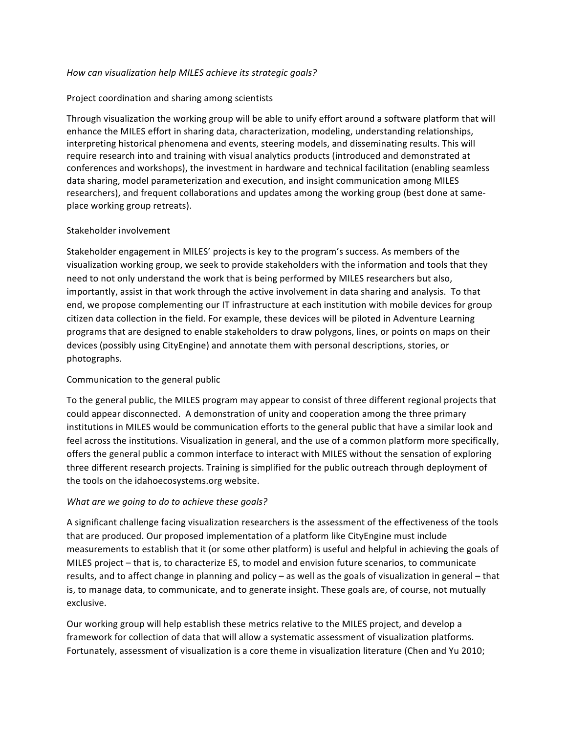### *How can visualization help MILES achieve its strategic goals?*

### Project coordination and sharing among scientists

Through visualization the working group will be able to unify effort around a software platform that will enhance the MILES effort in sharing data, characterization, modeling, understanding relationships, interpreting historical phenomena and events, steering models, and disseminating results. This will require research into and training with visual analytics products (introduced and demonstrated at conferences and workshops), the investment in hardware and technical facilitation (enabling seamless data sharing, model parameterization and execution, and insight communication among MILES researchers), and frequent collaborations and updates among the working group (best done at sameplace working group retreats).

### Stakeholder involvement

Stakeholder engagement in MILES' projects is key to the program's success. As members of the visualization working group, we seek to provide stakeholders with the information and tools that they need to not only understand the work that is being performed by MILES researchers but also, importantly, assist in that work through the active involvement in data sharing and analysis. To that end, we propose complementing our IT infrastructure at each institution with mobile devices for group citizen data collection in the field. For example, these devices will be piloted in Adventure Learning programs that are designed to enable stakeholders to draw polygons, lines, or points on maps on their devices (possibly using CityEngine) and annotate them with personal descriptions, stories, or photographs.

## Communication to the general public

To the general public, the MILES program may appear to consist of three different regional projects that could appear disconnected. A demonstration of unity and cooperation among the three primary institutions in MILES would be communication efforts to the general public that have a similar look and feel across the institutions. Visualization in general, and the use of a common platform more specifically, offers the general public a common interface to interact with MILES without the sensation of exploring three different research projects. Training is simplified for the public outreach through deployment of the tools on the idahoecosystems.org website.

## *What are we going to do to achieve these goals?*

A significant challenge facing visualization researchers is the assessment of the effectiveness of the tools that are produced. Our proposed implementation of a platform like CityEngine must include measurements to establish that it (or some other platform) is useful and helpful in achieving the goals of MILES project – that is, to characterize ES, to model and envision future scenarios, to communicate results, and to affect change in planning and policy – as well as the goals of visualization in general – that is, to manage data, to communicate, and to generate insight. These goals are, of course, not mutually exclusive. 

Our working group will help establish these metrics relative to the MILES project, and develop a framework for collection of data that will allow a systematic assessment of visualization platforms. Fortunately, assessment of visualization is a core theme in visualization literature (Chen and Yu 2010;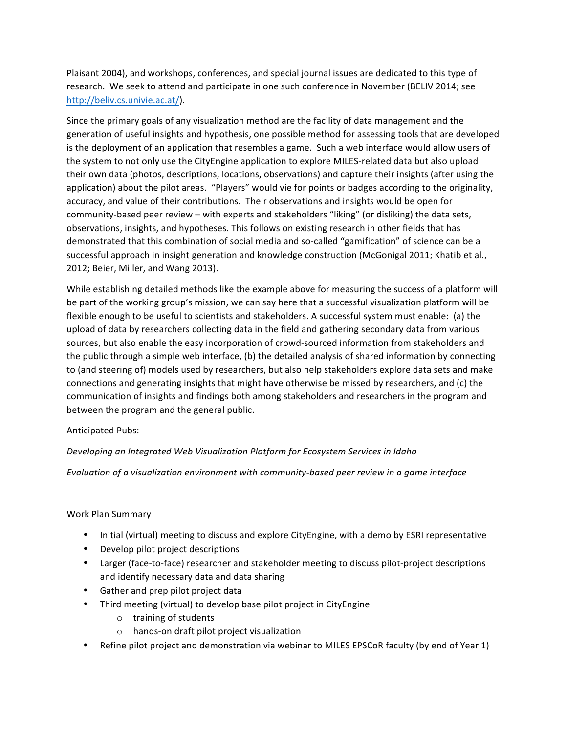Plaisant 2004), and workshops, conferences, and special journal issues are dedicated to this type of research. We seek to attend and participate in one such conference in November (BELIV 2014; see http://beliv.cs.univie.ac.at/).

Since the primary goals of any visualization method are the facility of data management and the generation of useful insights and hypothesis, one possible method for assessing tools that are developed is the deployment of an application that resembles a game. Such a web interface would allow users of the system to not only use the CityEngine application to explore MILES-related data but also upload their own data (photos, descriptions, locations, observations) and capture their insights (after using the application) about the pilot areas. "Players" would vie for points or badges according to the originality, accuracy, and value of their contributions. Their observations and insights would be open for community-based peer review – with experts and stakeholders "liking" (or disliking) the data sets, observations, insights, and hypotheses. This follows on existing research in other fields that has demonstrated that this combination of social media and so-called "gamification" of science can be a successful approach in insight generation and knowledge construction (McGonigal 2011; Khatib et al., 2012; Beier, Miller, and Wang 2013).

While establishing detailed methods like the example above for measuring the success of a platform will be part of the working group's mission, we can say here that a successful visualization platform will be flexible enough to be useful to scientists and stakeholders. A successful system must enable: (a) the upload of data by researchers collecting data in the field and gathering secondary data from various sources, but also enable the easy incorporation of crowd-sourced information from stakeholders and the public through a simple web interface, (b) the detailed analysis of shared information by connecting to (and steering of) models used by researchers, but also help stakeholders explore data sets and make connections and generating insights that might have otherwise be missed by researchers, and (c) the communication of insights and findings both among stakeholders and researchers in the program and between the program and the general public.

Anticipated Pubs:

## *Developing an Integrated Web Visualization Platform for Ecosystem Services in Idaho*

Evaluation of a visualization environment with community-based peer review in a game interface

## Work Plan Summary

- Initial (virtual) meeting to discuss and explore CityEngine, with a demo by ESRI representative
- Develop pilot project descriptions
- Larger (face-to-face) researcher and stakeholder meeting to discuss pilot-project descriptions and identify necessary data and data sharing
- Gather and prep pilot project data
- Third meeting (virtual) to develop base pilot project in CityEngine
	- $\circ$  training of students
	- o hands-on draft pilot project visualization
- Refine pilot project and demonstration via webinar to MILES EPSCoR faculty (by end of Year 1)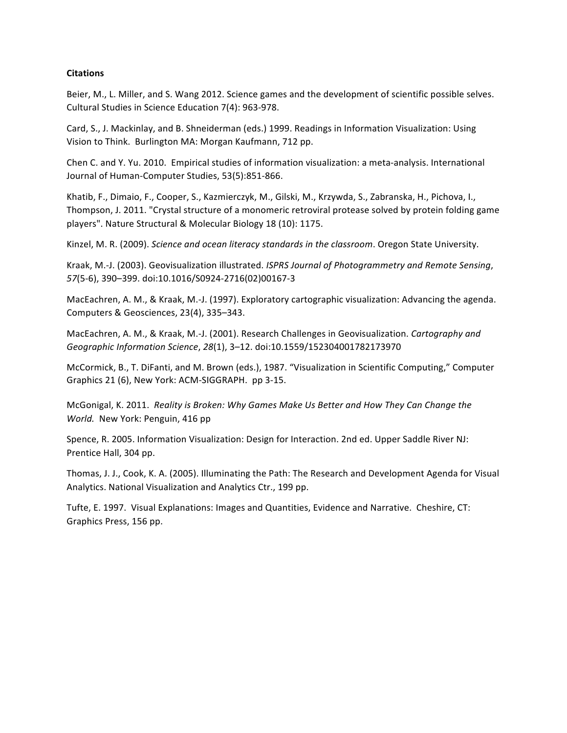### **Citations**

Beier, M., L. Miller, and S. Wang 2012. Science games and the development of scientific possible selves. Cultural Studies in Science Education 7(4): 963-978.

Card, S., J. Mackinlay, and B. Shneiderman (eds.) 1999. Readings in Information Visualization: Using Vision to Think. Burlington MA: Morgan Kaufmann, 712 pp.

Chen C. and Y. Yu. 2010. Empirical studies of information visualization: a meta-analysis. International Journal of Human-Computer Studies, 53(5):851-866.

Khatib, F., Dimaio, F., Cooper, S., Kazmierczyk, M., Gilski, M., Krzywda, S., Zabranska, H., Pichova, I., Thompson, J. 2011. "Crystal structure of a monomeric retroviral protease solved by protein folding game players". Nature Structural & Molecular Biology 18 (10): 1175.

Kinzel, M. R. (2009). *Science and ocean literacy standards in the classroom*. Oregon State University.

Kraak, M.-J. (2003). Geovisualization illustrated. *ISPRS Journal of Photogrammetry and Remote Sensing*, *57*(5-6), 390–399. doi:10.1016/S0924-2716(02)00167-3

MacEachren, A. M., & Kraak, M.-J. (1997). Exploratory cartographic visualization: Advancing the agenda. Computers & Geosciences, 23(4), 335-343.

MacEachren, A. M., & Kraak, M.-J. (2001). Research Challenges in Geovisualization. Cartography and *Geographic Information Science*, *28*(1), 3–12. doi:10.1559/152304001782173970

McCormick, B., T. DiFanti, and M. Brown (eds.), 1987. "Visualization in Scientific Computing," Computer Graphics 21 (6), New York: ACM-SIGGRAPH. pp 3-15.

McGonigal, K. 2011. Reality is Broken: Why Games Make Us Better and How They Can Change the *World.* New York: Penguin, 416 pp.

Spence, R. 2005. Information Visualization: Design for Interaction. 2nd ed. Upper Saddle River NJ: Prentice Hall, 304 pp.

Thomas, J. J., Cook, K. A. (2005). Illuminating the Path: The Research and Development Agenda for Visual Analytics. National Visualization and Analytics Ctr., 199 pp.

Tufte, E. 1997. Visual Explanations: Images and Quantities, Evidence and Narrative. Cheshire, CT: Graphics Press, 156 pp.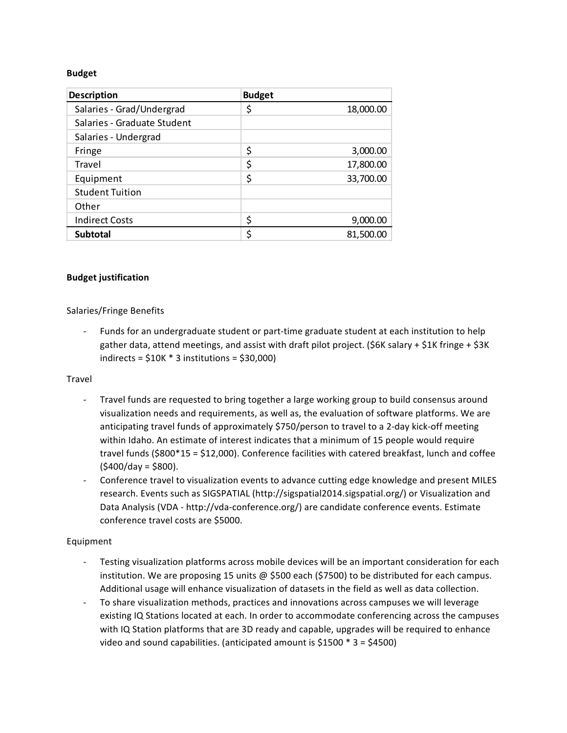#### **Budget**

| <b>Description</b>          | <b>Budget</b> |           |
|-----------------------------|---------------|-----------|
| Salaries - Grad/Undergrad   | \$            | 18,000.00 |
| Salaries - Graduate Student |               |           |
| Salaries - Undergrad        |               |           |
| Fringe                      | \$            | 3,000.00  |
| Travel                      | \$            | 17,800.00 |
| Equipment                   | \$            | 33,700.00 |
| <b>Student Tuition</b>      |               |           |
| Other                       |               |           |
| <b>Indirect Costs</b>       | \$            | 9,000.00  |
| <b>Subtotal</b>             | \$            | 81,500.00 |

## **Budget justification**

## Salaries/Fringe Benefits

Funds for an undergraduate student or part-time graduate student at each institution to help gather data, attend meetings, and assist with draft pilot project. (\$6K salary + \$1K fringe + \$3K indirects =  $$10K * 3$  institutions =  $$30,000$ )

#### Travel

- Travel funds are requested to bring together a large working group to build consensus around visualization needs and requirements, as well as, the evaluation of software platforms. We are anticipating travel funds of approximately \$750/person to travel to a 2-day kick-off meeting within Idaho. An estimate of interest indicates that a minimum of 15 people would require travel funds  $(\$800*15 = \$12,000)$ . Conference facilities with catered breakfast, lunch and coffee  $(5400/day = $800)$ .
- Conference travel to visualization events to advance cutting edge knowledge and present MILES research. Events such as SIGSPATIAL (http://sigspatial2014.sigspatial.org/) or Visualization and Data Analysis (VDA - http://vda-conference.org/) are candidate conference events. Estimate conference travel costs are \$5000.

## Equipment

- Testing visualization platforms across mobile devices will be an important consideration for each institution. We are proposing 15 units  $\omega$  \$500 each (\$7500) to be distributed for each campus. Additional usage will enhance visualization of datasets in the field as well as data collection.
- To share visualization methods, practices and innovations across campuses we will leverage existing IQ Stations located at each. In order to accommodate conferencing across the campuses with IQ Station platforms that are 3D ready and capable, upgrades will be required to enhance video and sound capabilities. (anticipated amount is \$1500  $*$  3 = \$4500)